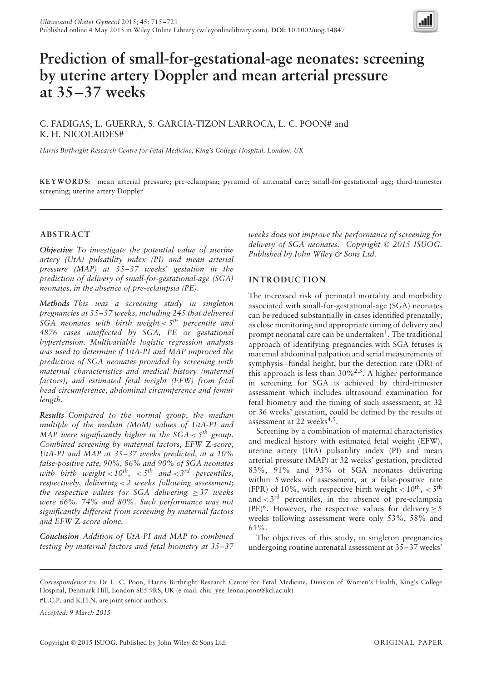

# **Prediction of small-for-gestational-age neonates: screening by uterine artery Doppler and mean arterial pressure at 35–37 weeks**

# C. FADIGAS, L. GUERRA, S. GARCIA-TIZON LARROCA, L. C. POON# and K. H. NICOLAIDES#

*Harris Birthright Research Centre for Fetal Medicine, King's College Hospital, London, UK*

**KEYWORDS:** mean arterial pressure; pre-eclampsia; pyramid of antenatal care; small-for-gestational age; third-trimester screening; uterine artery Doppler

## **ABSTRACT**

*Objective To investigate the potential value of uterine artery (UtA) pulsatility index (PI) and mean arterial pressure (MAP) at 35–37 weeks' gestation in the prediction of delivery of small-for-gestational-age (SGA) neonates, in the absence of pre-eclampsia (PE).*

*Methods This was a screening study in singleton pregnancies at 35–37 weeks, including 245 that delivered SGA neonates with birth weight < 5th percentile and 4876 cases unaffected by SGA, PE or gestational hypertension. Multivariable logistic regression analysis was used to determine if UtA-PI and MAP improved the prediction of SGA neonates provided by screening with maternal characteristics and medical history (maternal factors), and estimated fetal weight (EFW) from fetal head circumference, abdominal circumference and femur length.*

*Results Compared to the normal group, the median multiple of the median (MoM) values of UtA-PI and MAP were significantly higher in the SGA*  $\lt$  *5<sup>th</sup> group. Combined screening by maternal factors, EFW* Z*-score, UtA-PI and MAP at 35–37 weeks predicted, at a 10% false-positive rate, 90%, 86% and 90% of SGA neonates with birth weight* <  $10^{th}$ , <  $5^{th}$  *and* <  $3^{rd}$  *percentiles, respectively, delivering < 2 weeks following assessment; the respective values for SGA delivering* ≥ *37 weeks were 66%, 74% and 80%. Such performance was not significantly different from screening by maternal factors and EFW* Z*-score alone.*

*Conclusion Addition of UtA-PI and MAP to combined testing by maternal factors and fetal biometry at 35–37* *weeks does not improve the performance of screening for delivery of SGA neonates. Copyright* © *2015 ISUOG. Published by John Wiley & Sons Ltd.*

## **INTRODUCTION**

The increased risk of perinatal mortality and morbidity associated with small-for-gestational-age (SGA) neonates can be reduced substantially in cases identified prenatally, as close monitoring and appropriate timing of delivery and prompt neonatal care can be undertaken<sup>1</sup>. The traditional approach of identifying pregnancies with SGA fetuses is maternal abdominal palpation and serial measurements of symphysis–fundal height, but the detection rate (DR) of this approach is less than  $30\%^{2,3}$ . A higher performance in screening for SGA is achieved by third-trimester assessment which includes ultrasound examination for fetal biometry and the timing of such assessment, at 32 or 36 weeks' gestation, could be defined by the results of assessment at 22 weeks $4.5$ .

Screening by a combination of maternal characteristics and medical history with estimated fetal weight (EFW), uterine artery (UtA) pulsatility index (PI) and mean arterial pressure (MAP) at 32 weeks' gestation, predicted 83%, 91% and 93% of SGA neonates delivering within 5 weeks of assessment, at a false-positive rate (FPR) of 10%, with respective birth weight  $< 10^{th}$ ,  $< 5^{th}$ and *<* 3rd percentiles, in the absence of pre-eclampsia  $(PE)^6$ . However, the respective values for delivery > 5 weeks following assessment were only 53%, 58% and 61%.

The objectives of this study, in singleton pregnancies undergoing routine antenatal assessment at 35–37 weeks'

*Accepted: 9 March 2015*

*Correspondence to:* Dr L. C. Poon, Harris Birthright Research Centre for Fetal Medicine, Division of Women's Health, King's College Hospital, Denmark Hill, London SE5 9RS, UK (e-mail: chiu\_yee\_leona.poon@kcl.ac.uk)

<sup>#</sup>L.C.P. and K.H.N. are joint senior authors.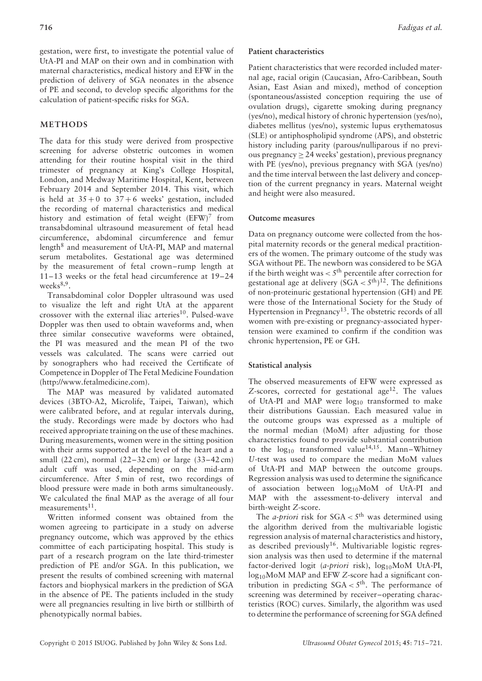gestation, were first, to investigate the potential value of UtA-PI and MAP on their own and in combination with maternal characteristics, medical history and EFW in the prediction of delivery of SGA neonates in the absence of PE and second, to develop specific algorithms for the calculation of patient-specific risks for SGA.

## **METHODS**

The data for this study were derived from prospective screening for adverse obstetric outcomes in women attending for their routine hospital visit in the third trimester of pregnancy at King's College Hospital, London, and Medway Maritime Hospital, Kent, between February 2014 and September 2014. This visit, which is held at  $35 + 0$  to  $37 + 6$  weeks' gestation, included the recording of maternal characteristics and medical history and estimation of fetal weight  $(EFW)^7$  from transabdominal ultrasound measurement of fetal head circumference, abdominal circumference and femur length $8$  and measurement of UtA-PI, MAP and maternal serum metabolites. Gestational age was determined by the measurement of fetal crown–rump length at 11–13 weeks or the fetal head circumference at 19–24 weeks $8,9$ .

Transabdominal color Doppler ultrasound was used to visualize the left and right UtA at the apparent crossover with the external iliac arteries $^{10}$ . Pulsed-wave Doppler was then used to obtain waveforms and, when three similar consecutive waveforms were obtained, the PI was measured and the mean PI of the two vessels was calculated. The scans were carried out by sonographers who had received the Certificate of Competence in Doppler of The Fetal Medicine Foundation (http://www.fetalmedicine.com).

The MAP was measured by validated automated devices (3BTO-A2, Microlife, Taipei, Taiwan), which were calibrated before, and at regular intervals during, the study. Recordings were made by doctors who had received appropriate training on the use of these machines. During measurements, women were in the sitting position with their arms supported at the level of the heart and a small (22 cm), normal (22–32 cm) or large (33–42 cm) adult cuff was used, depending on the mid-arm circumference. After 5 min of rest, two recordings of blood pressure were made in both arms simultaneously. We calculated the final MAP as the average of all four measurements $11$ .

Written informed consent was obtained from the women agreeing to participate in a study on adverse pregnancy outcome, which was approved by the ethics committee of each participating hospital. This study is part of a research program on the late third-trimester prediction of PE and/or SGA. In this publication, we present the results of combined screening with maternal factors and biophysical markers in the prediction of SGA in the absence of PE. The patients included in the study were all pregnancies resulting in live birth or stillbirth of phenotypically normal babies.

## **Patient characteristics**

Patient characteristics that were recorded included maternal age, racial origin (Caucasian, Afro-Caribbean, South Asian, East Asian and mixed), method of conception (spontaneous/assisted conception requiring the use of ovulation drugs), cigarette smoking during pregnancy (yes/no), medical history of chronic hypertension (yes/no), diabetes mellitus (yes/no), systemic lupus erythematosus (SLE) or antiphospholipid syndrome (APS), and obstetric history including parity (parous/nulliparous if no previous pregnancy  $\geq$  24 weeks' gestation), previous pregnancy with PE (yes/no), previous pregnancy with SGA (yes/no) and the time interval between the last delivery and conception of the current pregnancy in years. Maternal weight and height were also measured.

## **Outcome measures**

Data on pregnancy outcome were collected from the hospital maternity records or the general medical practitioners of the women. The primary outcome of the study was SGA without PE. The newborn was considered to be SGA if the birth weight was *<* 5th percentile after correction for gestational age at delivery (SGA *<* 5th) 12. The definitions of non-proteinuric gestational hypertension (GH) and PE were those of the International Society for the Study of Hypertension in Pregnancy<sup>13</sup>. The obstetric records of all women with pre-existing or pregnancy-associated hypertension were examined to confirm if the condition was chronic hypertension, PE or GH.

## **Statistical analysis**

The observed measurements of EFW were expressed as Z-scores, corrected for gestational age<sup>12</sup>. The values of UtA-PI and MAP were  $log_{10}$  transformed to make their distributions Gaussian. Each measured value in the outcome groups was expressed as a multiple of the normal median (MoM) after adjusting for those characteristics found to provide substantial contribution to the  $log_{10}$  transformed value<sup>14,15</sup>. Mann–Whitney *U*-test was used to compare the median MoM values of UtA-PI and MAP between the outcome groups. Regression analysis was used to determine the significance of association between log10MoM of UtA-PI and MAP with the assessment-to-delivery interval and birth-weight *Z*-score.

The *a-priori* risk for  $SGA < 5<sup>th</sup>$  was determined using the algorithm derived from the multivariable logistic regression analysis of maternal characteristics and history, as described previously16. Multivariable logistic regression analysis was then used to determine if the maternal factor-derived logit (*a-priori* risk), log<sub>10</sub>MoM UtA-PI, log10MoM MAP and EFW *Z*-score had a significant contribution in predicting  $SGA < 5<sup>th</sup>$ . The performance of screening was determined by receiver–operating characteristics (ROC) curves. Similarly, the algorithm was used to determine the performance of screening for SGA defined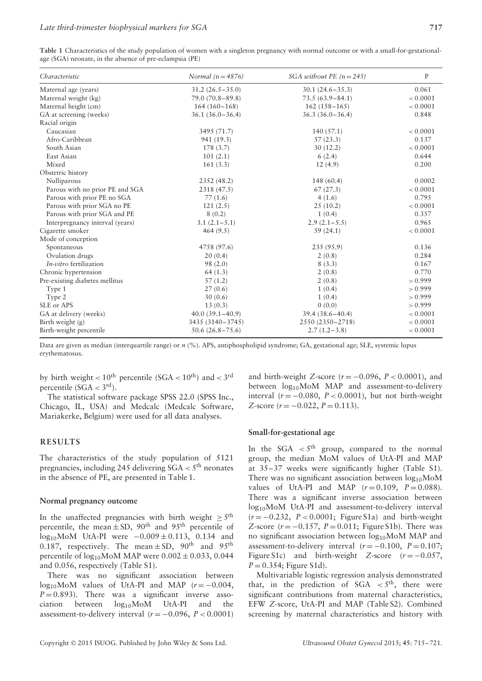| Table 1 Characteristics of the study population of women with a singleton pregnancy with normal outcome or with a small-for-gestational- |  |  |  |
|------------------------------------------------------------------------------------------------------------------------------------------|--|--|--|
| age (SGA) neonate, in the absence of pre-eclampsia (PE)                                                                                  |  |  |  |

| Characteristic                  | Normal ( $n = 4876$ ) | SGA without PE $(n = 245)$ | $\mathbf{P}$ |
|---------------------------------|-----------------------|----------------------------|--------------|
| Maternal age (years)            | $31.2(26.5 - 35.0)$   | $30.1(24.6-35.3)$          | 0.061        |
| Maternal weight (kg)            | $79.0(70.8-89.8)$     | $73.5(63.9 - 84.1)$        | < 0.0001     |
| Maternal height (cm)            | $164(160-168)$        | $162(158-165)$             | < 0.0001     |
| GA at screening (weeks)         | $36.1(36.0-36.4)$     | $36.3(36.0-36.4)$          | 0.848        |
| Racial origin                   |                       |                            |              |
| Caucasian                       | 3495 (71.7)           | 140(57.1)                  | < 0.0001     |
| Afro-Caribbean                  | 941 (19.3)            | 57(23.3)                   | 0.137        |
| South Asian                     | 178 (3.7)             | 30(12.2)                   | < 0.0001     |
| East Asian                      | 101(2.1)              | 6(2.4)                     | 0.644        |
| Mixed                           | 161(3.3)              | 12(4.9)                    | 0.200        |
| Obstetric history               |                       |                            |              |
| Nulliparous                     | 2352 (48.2)           | 148 (60.4)                 | 0.0002       |
| Parous with no prior PE and SGA | 2318 (47.5)           | 67(27.3)                   | < 0.0001     |
| Parous with prior PE no SGA     | 77(1.6)               | 4(1.6)                     | 0.795        |
| Parous with prior SGA no PE     | 121(2.5)              | 25(10.2)                   | < 0.0001     |
| Parous with prior SGA and PE    | 8(0.2)                | 1(0.4)                     | 0.357        |
| Interpregnancy interval (years) | $3.1(2.1-5.1)$        | $2.9(2.1-5.5)$             | 0.965        |
| Cigarette smoker                | 464(9.5)              | 59(24.1)                   | < 0.0001     |
| Mode of conception              |                       |                            |              |
| Spontaneous                     | 4758 (97.6)           | 235 (95.9)                 | 0.136        |
| Ovulation drugs                 | 20(0.4)               | 2(0.8)                     | 0.284        |
| In-vitro fertilization          | 98(2.0)               | 8(3.3)                     | 0.167        |
| Chronic hypertension            | 64(1.3)               | 2(0.8)                     | 0.770        |
| Pre-existing diabetes mellitus  | 57(1.2)               | 2(0.8)                     | > 0.999      |
| Type 1                          | 27(0.6)               | 1(0.4)                     | > 0.999      |
| Type 2                          | 30(0.6)               | 1(0.4)                     | > 0.999      |
| SLE or APS                      | 13(0.3)               | 0(0.0)                     | > 0.999      |
| GA at delivery (weeks)          | $40.0(39.1-40.9)$     | $39.4(38.6 - 40.4)$        | < 0.0001     |
| Birth weight (g)                | 3435 (3140-3745)      | 2550 (2350-2718)           | < 0.0001     |
| Birth-weight percentile         | $50.6(26.8 - 75.6)$   | $2.7(1.2-3.8)$             | < 0.0001     |

Data are given as median (interquartile range) or  $n$  (%). APS, antiphospholipid syndrome; GA, gestational age; SLE, systemic lupus erythematosus.

by birth weight  $< 10^{th}$  percentile (SGA  $< 10^{th}$ ) and  $< 3^{rd}$ percentile  $(SGA < 3<sup>rd</sup>)$ .

The statistical software package SPSS 22.0 (SPSS Inc., Chicago, IL, USA) and Medcalc (Medcalc Software, Mariakerke, Belgium) were used for all data analyses.

## **RESULTS**

The characteristics of the study population of 5121 pregnancies, including 245 delivering SGA *<* 5th neonates in the absence of PE, are presented in Table 1.

#### **Normal pregnancy outcome**

In the unaffected pregnancies with birth weight  $\geq 5$ <sup>th</sup> percentile, the mean  $\pm$  SD, 90<sup>th</sup> and 95<sup>th</sup> percentile of  $log_{10}$ MoM UtA-PI were  $-0.009 \pm 0.113$ , 0.134 and 0.187, respectively. The mean  $\pm$  SD, 90<sup>th</sup> and 95<sup>th</sup> percentile of  $log_{10}$ MoM MAP were  $0.002 \pm 0.033$ , 0.044 and 0.056, respectively (Table S1).

There was no significant association between log<sub>10</sub>MoM values of UtA-PI and MAP  $(r = -0.004,$  $P = 0.893$ ). There was a significant inverse association between  $log_{10}$ MoM UtA-PI and the  $log_{10}$ MoM assessment-to-delivery interval  $(r = -0.096, P < 0.0001)$ 

and birth-weight *Z*-score ( $r = -0.096$ ,  $P < 0.0001$ ), and between log<sub>10</sub>MoM MAP and assessment-to-delivery interval  $(r = -0.080, P < 0.0001)$ , but not birth-weight *Z*-score (*r* = −0.022, *P* = 0.113).

#### **Small-for-gestational age**

In the  $SGA < 5<sup>th</sup>$  group, compared to the normal group, the median MoM values of UtA-PI and MAP at 35–37 weeks were significantly higher (Table S1). There was no significant association between  $log_{10}$ MoM values of UtA-PI and MAP  $(r=0.109, P=0.088)$ . There was a significant inverse association between log<sub>10</sub>MoM UtA-PI and assessment-to-delivery interval (*r* = −0.232, *P <* 0.0001; Figure S1a) and birth-weight *Z*-score  $(r = -0.157, P = 0.011;$  Figure S1b). There was no significant association between  $log_{10}$ MoM MAP and assessment-to-delivery interval  $(r = -0.100, P = 0.107;$ Figure S1c) and birth-weight *Z*-score  $(r = -0.057$ ,  $P = 0.354$ ; Figure S1d).

Multivariable logistic regression analysis demonstrated that, in the prediction of  $SGA \leq 5^{th}$ , there were significant contributions from maternal characteristics, EFW *Z*-score, UtA-PI and MAP (Table S2). Combined screening by maternal characteristics and history with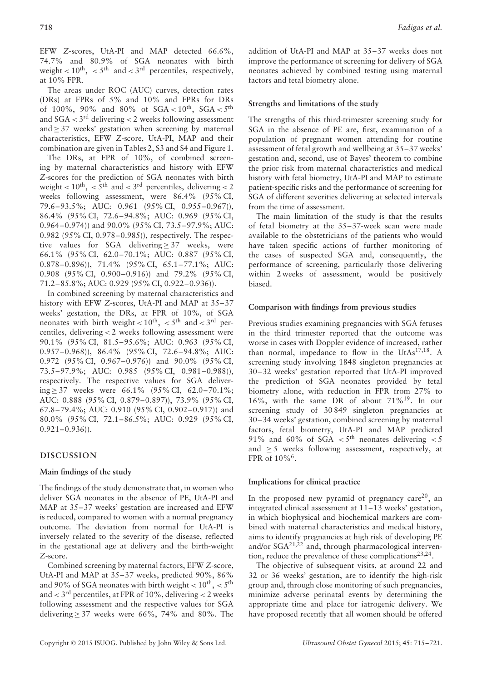EFW *Z*-scores, UtA-PI and MAP detected 66.6%, 74.7% and 80.9% of SGA neonates with birth weight  $< 10^{\text{th}}$ ,  $< 5^{\text{th}}$  and  $< 3^{\text{rd}}$  percentiles, respectively, at 10% FPR.

The areas under ROC (AUC) curves, detection rates (DRs) at FPRs of 5% and 10% and FPRs for DRs of 100%, 90% and 80% of SGA *<* 10th, SGA *<* 5th and SGA *<* 3rd delivering *<* 2 weeks following assessment and  $> 37$  weeks' gestation when screening by maternal characteristics, EFW *Z*-score, UtA-PI, MAP and their combination are given in Tables 2, S3 and S4 and Figure 1.

The DRs, at FPR of 10%, of combined screening by maternal characteristics and history with EFW *Z*-scores for the prediction of SGA neonates with birth weight *<* 10th, *<* 5th and *<* 3rd percentiles, delivering *<* 2 weeks following assessment, were 86.4% (95% CI, 79.6–93.5%; AUC: 0.961 (95% CI, 0.955–0.967)), 86.4% (95% CI, 72.6–94.8%; AUC: 0.969 (95% CI, 0.964–0.974)) and 90.0% (95% CI, 73.5–97.9%; AUC: 0.982 (95% CI, 0.978–0.985)), respectively. The respective values for SGA delivering > 37 weeks, were 66.1% (95% CI, 62.0–70.1%; AUC: 0.887 (95% CI, 0.878–0.896)), 71.4% (95% CI, 65.1–77.1%; AUC: 0.908 (95% CI, 0.900–0.916)) and 79.2% (95% CI, 71.2–85.8%; AUC: 0.929 (95% CI, 0.922–0.936)).

In combined screening by maternal characteristics and history with EFW *Z*-scores, UtA-PI and MAP at 35–37 weeks' gestation, the DRs, at FPR of 10%, of SGA neonates with birth weight  $< 10^{th}$ ,  $< 5^{th}$  and  $< 3^{rd}$  percentiles, delivering *<* 2 weeks following assessment were 90.1% (95% CI, 81.5–95.6%; AUC: 0.963 (95% CI, 0.957–0.968)), 86.4% (95% CI, 72.6–94.8%; AUC: 0.972 (95% CI, 0.967–0.976)) and 90.0% (95% CI, 73.5–97.9%; AUC: 0.985 (95% CI, 0.981–0.988)), respectively. The respective values for SGA delivering ≥ 37 weeks were  $66.1\%$  (95% CI, 62.0–70.1%; AUC: 0.888 (95% CI, 0.879–0.897)), 73.9% (95% CI, 67.8–79.4%; AUC: 0.910 (95% CI, 0.902–0.917)) and 80.0% (95% CI, 72.1–86.5%; AUC: 0.929 (95% CI,  $0.921 - 0.936$ )).

## **DISCUSSION**

## **Main findings of the study**

The findings of the study demonstrate that, in women who deliver SGA neonates in the absence of PE, UtA-PI and MAP at 35–37 weeks' gestation are increased and EFW is reduced, compared to women with a normal pregnancy outcome. The deviation from normal for UtA-PI is inversely related to the severity of the disease, reflected in the gestational age at delivery and the birth-weight *Z*-score.

Combined screening by maternal factors, EFW *Z*-score, UtA-PI and MAP at 35–37 weeks, predicted 90%, 86% and 90% of SGA neonates with birth weight  $< 10^{th}$ ,  $< 5^{th}$ and *<* 3rd percentiles, at FPR of 10%, delivering *<* 2 weeks following assessment and the respective values for SGA delivering  $\geq$  37 weeks were 66%, 74% and 80%. The addition of UtA-PI and MAP at 35–37 weeks does not improve the performance of screening for delivery of SGA neonates achieved by combined testing using maternal factors and fetal biometry alone.

#### **Strengths and limitations of the study**

The strengths of this third-trimester screening study for SGA in the absence of PE are, first, examination of a population of pregnant women attending for routine assessment of fetal growth and wellbeing at 35–37 weeks' gestation and, second, use of Bayes' theorem to combine the prior risk from maternal characteristics and medical history with fetal biometry, UtA-PI and MAP to estimate patient-specific risks and the performance of screening for SGA of different severities delivering at selected intervals from the time of assessment.

The main limitation of the study is that the results of fetal biometry at the 35–37-week scan were made available to the obstetricians of the patients who would have taken specific actions of further monitoring of the cases of suspected SGA and, consequently, the performance of screening, particularly those delivering within 2 weeks of assessment, would be positively biased.

#### **Comparison with findings from previous studies**

Previous studies examining pregnancies with SGA fetuses in the third trimester reported that the outcome was worse in cases with Doppler evidence of increased, rather than normal, impedance to flow in the UtAs $17,18$ . A screening study involving 1848 singleton pregnancies at 30–32 weeks' gestation reported that UtA-PI improved the prediction of SGA neonates provided by fetal biometry alone, with reduction in FPR from 27% to 16%, with the same DR of about 71%19. In our screening study of 30849 singleton pregnancies at 30–34 weeks' gestation, combined screening by maternal factors, fetal biometry, UtA-PI and MAP predicted 91% and 60% of  $SGA < 5<sup>th</sup>$  neonates delivering  $< 5$ and  $> 5$  weeks following assessment, respectively, at FPR of  $10\%$ <sup>6</sup>.

#### **Implications for clinical practice**

In the proposed new pyramid of pregnancy care<sup>20</sup>, an integrated clinical assessment at 11–13 weeks' gestation, in which biophysical and biochemical markers are combined with maternal characteristics and medical history, aims to identify pregnancies at high risk of developing PE and/or  $SGA^{21,22}$  and, through pharmacological intervention, reduce the prevalence of these complications<sup>23,24</sup>.

The objective of subsequent visits, at around 22 and 32 or 36 weeks' gestation, are to identify the high-risk group and, through close monitoring of such pregnancies, minimize adverse perinatal events by determining the appropriate time and place for iatrogenic delivery. We have proposed recently that all women should be offered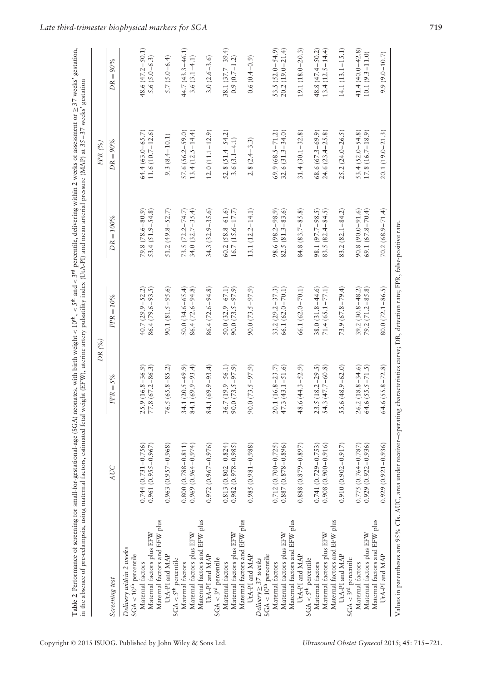| $50.0 (32.9 - 67.1)$<br>90.0 (73.5 – 97.9)<br>90.1 (81.5-95.6)<br>$55.6(48.9 - 62.0)$<br>84.1 (69.9–93.4)<br>48.6 $(44.3 - 52.9)$<br>34.1 $(20.5-49.9)$<br>84.1 (69.9-93.4)<br>$36.7(19.9 - 56.1)$<br>$23.5(18.2-29.5)$<br>$54.3(47.7-60.8)$<br>$25.9(16.8-36.9)$<br>77.8 (67.2-86.3)<br>$76.5(65.8-85.2)$<br>$90.0(73.5 - 97.9)$<br>$20.1(16.8-23.7)$<br>$90.0(73.5 - 97.9)$<br>$47.3(43.1 - 51.6)$<br>$FPR = 5\%$<br>$0.963(0.957 - 0.968)$<br>$0.744(0.731 - 0.756)$<br>$0.961(0.955 - 0.967)$<br>$0.800(0.788 - 0.811)$<br>$0.969(0.964 - 0.974)$<br>$0.813(0.802 - 0.824)$<br>$0.982(0.978 - 0.985)$<br>$0.985(0.981 - 0.988)$<br>$0.712(0.700 - 0.725)$<br>$0.887(0.878 - 0.896)$<br>$0.888(0.879 - 0.897)$<br>$0.741(0.729 - 0.753)$<br>$0.908(0.900 - 0.916)$<br>$0.910(0.902 - 0.917)$<br>$0.972(0.967 - 0.976)$<br>AUC<br>Maternal factors and EFW plus<br>Maternal factors and EFW plus<br>Maternal factors and EFW plus<br>Maternal factors and EFW plus<br>Maternal factors and EFW plus<br>Maternal factors plus EFW<br>Maternal factors plus EFW<br>Maternal factors plus EFW<br>Maternal factors plus EFW<br>Maternal factors plus EFW<br>Delivery within 2 weeks<br>UtA-PI and MAP<br>UtA-PI and MAP<br>$SGA < 10th$ percentile<br>UtA-PI and MAP<br>UtA-PI and MAP<br>UtA-PI and MAP<br>$SGA < 10^{th}$ percentile<br>$\text{SGA} < 3^{\text{rd}}$ percentile<br>$\text{SGA} < 3^{\text{rd}}$ percentile<br>$Delivery \geq 37 weeks$<br>$SGA < 5th$ percentile<br>$\text{SGA} < 5^{\text{th}}$ percentile<br>Maternal factors<br>Maternal factors<br>Maternal factors<br>Maternal factors<br>Maternal factors<br>Maternal factors<br>Screening test |                     | DR $(%$                                                                 |                                                                       | FPR(%)                                        |                     |
|-----------------------------------------------------------------------------------------------------------------------------------------------------------------------------------------------------------------------------------------------------------------------------------------------------------------------------------------------------------------------------------------------------------------------------------------------------------------------------------------------------------------------------------------------------------------------------------------------------------------------------------------------------------------------------------------------------------------------------------------------------------------------------------------------------------------------------------------------------------------------------------------------------------------------------------------------------------------------------------------------------------------------------------------------------------------------------------------------------------------------------------------------------------------------------------------------------------------------------------------------------------------------------------------------------------------------------------------------------------------------------------------------------------------------------------------------------------------------------------------------------------------------------------------------------------------------------------------------------------------------------------------------------------------------|---------------------|-------------------------------------------------------------------------|-----------------------------------------------------------------------|-----------------------------------------------|---------------------|
|                                                                                                                                                                                                                                                                                                                                                                                                                                                                                                                                                                                                                                                                                                                                                                                                                                                                                                                                                                                                                                                                                                                                                                                                                                                                                                                                                                                                                                                                                                                                                                                                                                                                       |                     | $FPR = 10\%$                                                            | $DR = 100\%$                                                          | $DR = 90\%$                                   | $DR = 80%$          |
|                                                                                                                                                                                                                                                                                                                                                                                                                                                                                                                                                                                                                                                                                                                                                                                                                                                                                                                                                                                                                                                                                                                                                                                                                                                                                                                                                                                                                                                                                                                                                                                                                                                                       |                     |                                                                         |                                                                       |                                               |                     |
|                                                                                                                                                                                                                                                                                                                                                                                                                                                                                                                                                                                                                                                                                                                                                                                                                                                                                                                                                                                                                                                                                                                                                                                                                                                                                                                                                                                                                                                                                                                                                                                                                                                                       |                     | $40.7(29.9 - 52.2)$                                                     | $79.8(78.6 - 80.9)$                                                   | $64.4(63.0 - 65.7)$                           | 48.6 (47.2-50.1)    |
|                                                                                                                                                                                                                                                                                                                                                                                                                                                                                                                                                                                                                                                                                                                                                                                                                                                                                                                                                                                                                                                                                                                                                                                                                                                                                                                                                                                                                                                                                                                                                                                                                                                                       |                     | $86.4(79.6-93.5)$                                                       | $53.4 (51.9 - 54.8)$                                                  | $11.6(10.7 - 12.6)$                           | $5.6(5.0-6.3)$      |
|                                                                                                                                                                                                                                                                                                                                                                                                                                                                                                                                                                                                                                                                                                                                                                                                                                                                                                                                                                                                                                                                                                                                                                                                                                                                                                                                                                                                                                                                                                                                                                                                                                                                       |                     |                                                                         | $51.2(49.8 - 52.7)$                                                   | $9.3(8.4 - 10.1)$                             | $5.7(5.0 - 6.4)$    |
|                                                                                                                                                                                                                                                                                                                                                                                                                                                                                                                                                                                                                                                                                                                                                                                                                                                                                                                                                                                                                                                                                                                                                                                                                                                                                                                                                                                                                                                                                                                                                                                                                                                                       |                     |                                                                         |                                                                       |                                               |                     |
|                                                                                                                                                                                                                                                                                                                                                                                                                                                                                                                                                                                                                                                                                                                                                                                                                                                                                                                                                                                                                                                                                                                                                                                                                                                                                                                                                                                                                                                                                                                                                                                                                                                                       |                     | $50.0(34.6 - 65.4)$                                                     | $73.5(72.2 - 74.7)$                                                   | $57.6 (56.2 - 59.0)$                          | $44.7(43.3 - 46.1)$ |
|                                                                                                                                                                                                                                                                                                                                                                                                                                                                                                                                                                                                                                                                                                                                                                                                                                                                                                                                                                                                                                                                                                                                                                                                                                                                                                                                                                                                                                                                                                                                                                                                                                                                       |                     | 86.4 (72.6–94.8)                                                        | $34.0(32.7 - 35.4)$                                                   | $13.4(12.5 - 14.4)$                           | 3.6 $(3.1 - 4.1)$   |
|                                                                                                                                                                                                                                                                                                                                                                                                                                                                                                                                                                                                                                                                                                                                                                                                                                                                                                                                                                                                                                                                                                                                                                                                                                                                                                                                                                                                                                                                                                                                                                                                                                                                       |                     |                                                                         |                                                                       |                                               |                     |
|                                                                                                                                                                                                                                                                                                                                                                                                                                                                                                                                                                                                                                                                                                                                                                                                                                                                                                                                                                                                                                                                                                                                                                                                                                                                                                                                                                                                                                                                                                                                                                                                                                                                       |                     | 86.4 (72.6–94.8)                                                        | $34.3(32.9 - 35.6)$                                                   | $12.0(11.1 - 12.9)$                           | $3.0(2.6-3.6)$      |
|                                                                                                                                                                                                                                                                                                                                                                                                                                                                                                                                                                                                                                                                                                                                                                                                                                                                                                                                                                                                                                                                                                                                                                                                                                                                                                                                                                                                                                                                                                                                                                                                                                                                       |                     |                                                                         |                                                                       |                                               |                     |
|                                                                                                                                                                                                                                                                                                                                                                                                                                                                                                                                                                                                                                                                                                                                                                                                                                                                                                                                                                                                                                                                                                                                                                                                                                                                                                                                                                                                                                                                                                                                                                                                                                                                       |                     |                                                                         | $\begin{array}{c} 60.2\ (58.8-61.6) \\ 16.7\ (15.6-17.7) \end{array}$ |                                               | $38.1(37.7 - 39.4)$ |
|                                                                                                                                                                                                                                                                                                                                                                                                                                                                                                                                                                                                                                                                                                                                                                                                                                                                                                                                                                                                                                                                                                                                                                                                                                                                                                                                                                                                                                                                                                                                                                                                                                                                       |                     |                                                                         |                                                                       | $52.8$ $(51.4 - 54.2)$<br>$3.6$ $(3.1 - 4.1)$ | $0.9(0.7 - 1.2)$    |
|                                                                                                                                                                                                                                                                                                                                                                                                                                                                                                                                                                                                                                                                                                                                                                                                                                                                                                                                                                                                                                                                                                                                                                                                                                                                                                                                                                                                                                                                                                                                                                                                                                                                       |                     |                                                                         |                                                                       |                                               |                     |
|                                                                                                                                                                                                                                                                                                                                                                                                                                                                                                                                                                                                                                                                                                                                                                                                                                                                                                                                                                                                                                                                                                                                                                                                                                                                                                                                                                                                                                                                                                                                                                                                                                                                       |                     | $90.0(73.5 - 97.9)$                                                     | $13.1(12.2 - 14.1)$                                                   | $2.8(2.4-3.3)$                                | $0.6(0.4 - 0.9)$    |
|                                                                                                                                                                                                                                                                                                                                                                                                                                                                                                                                                                                                                                                                                                                                                                                                                                                                                                                                                                                                                                                                                                                                                                                                                                                                                                                                                                                                                                                                                                                                                                                                                                                                       |                     |                                                                         |                                                                       |                                               |                     |
|                                                                                                                                                                                                                                                                                                                                                                                                                                                                                                                                                                                                                                                                                                                                                                                                                                                                                                                                                                                                                                                                                                                                                                                                                                                                                                                                                                                                                                                                                                                                                                                                                                                                       |                     |                                                                         |                                                                       |                                               |                     |
|                                                                                                                                                                                                                                                                                                                                                                                                                                                                                                                                                                                                                                                                                                                                                                                                                                                                                                                                                                                                                                                                                                                                                                                                                                                                                                                                                                                                                                                                                                                                                                                                                                                                       |                     | $33.2(29.2 - 37.3)$                                                     | $98.6(98.2 - 98.9)$                                                   | $69.9(68.5 - 71.2)$                           | $53.5(52.0 - 54.9)$ |
|                                                                                                                                                                                                                                                                                                                                                                                                                                                                                                                                                                                                                                                                                                                                                                                                                                                                                                                                                                                                                                                                                                                                                                                                                                                                                                                                                                                                                                                                                                                                                                                                                                                                       |                     | 66.1 (62.0-70.1                                                         | $82.5(81.3-83.6)$                                                     | $32.6(31.3 - 34.0)$                           | $20.2(19.0 - 21.4)$ |
|                                                                                                                                                                                                                                                                                                                                                                                                                                                                                                                                                                                                                                                                                                                                                                                                                                                                                                                                                                                                                                                                                                                                                                                                                                                                                                                                                                                                                                                                                                                                                                                                                                                                       |                     |                                                                         |                                                                       |                                               |                     |
|                                                                                                                                                                                                                                                                                                                                                                                                                                                                                                                                                                                                                                                                                                                                                                                                                                                                                                                                                                                                                                                                                                                                                                                                                                                                                                                                                                                                                                                                                                                                                                                                                                                                       |                     | $66.1(62.0 - 70.1)$                                                     | $84.8(83.7 - 85.8)$                                                   | $31.4(30.1 - 32.8)$                           | $19.1(18.0 - 20.3)$ |
|                                                                                                                                                                                                                                                                                                                                                                                                                                                                                                                                                                                                                                                                                                                                                                                                                                                                                                                                                                                                                                                                                                                                                                                                                                                                                                                                                                                                                                                                                                                                                                                                                                                                       |                     |                                                                         |                                                                       |                                               |                     |
|                                                                                                                                                                                                                                                                                                                                                                                                                                                                                                                                                                                                                                                                                                                                                                                                                                                                                                                                                                                                                                                                                                                                                                                                                                                                                                                                                                                                                                                                                                                                                                                                                                                                       |                     | $38.0(31.8-44.6)$                                                       | 98.1 (97.7-98.5)                                                      | $68.6(67.3-69.9)$                             | 48.8 (47.4–50.2)    |
|                                                                                                                                                                                                                                                                                                                                                                                                                                                                                                                                                                                                                                                                                                                                                                                                                                                                                                                                                                                                                                                                                                                                                                                                                                                                                                                                                                                                                                                                                                                                                                                                                                                                       |                     | $71.4(65.1 - 77.1)$                                                     | $83.5(82.4 - 84.5)$                                                   | $24.6(23.4 - 25.8)$                           | $13.4(12.5 - 14.4)$ |
|                                                                                                                                                                                                                                                                                                                                                                                                                                                                                                                                                                                                                                                                                                                                                                                                                                                                                                                                                                                                                                                                                                                                                                                                                                                                                                                                                                                                                                                                                                                                                                                                                                                                       |                     |                                                                         |                                                                       |                                               |                     |
|                                                                                                                                                                                                                                                                                                                                                                                                                                                                                                                                                                                                                                                                                                                                                                                                                                                                                                                                                                                                                                                                                                                                                                                                                                                                                                                                                                                                                                                                                                                                                                                                                                                                       |                     | $73.9(67.8 - 79.4)$                                                     | $83.2(82.1 - 84.2)$                                                   | $25.2(24.0 - 26.5)$                           | $14.1(13.1 - 15.1)$ |
|                                                                                                                                                                                                                                                                                                                                                                                                                                                                                                                                                                                                                                                                                                                                                                                                                                                                                                                                                                                                                                                                                                                                                                                                                                                                                                                                                                                                                                                                                                                                                                                                                                                                       |                     |                                                                         |                                                                       |                                               |                     |
|                                                                                                                                                                                                                                                                                                                                                                                                                                                                                                                                                                                                                                                                                                                                                                                                                                                                                                                                                                                                                                                                                                                                                                                                                                                                                                                                                                                                                                                                                                                                                                                                                                                                       | $26.2(18.8 - 34.6)$ |                                                                         | $90.8(90.0 - 91.6)$                                                   | $53.4 (52.0 - 54.8)$                          | $41.4(40.0 - 42.8)$ |
| $64.6 (55.5 - 71.5)$<br>$0.775(0.764 - 0.787)$<br>$0.929(0.922 - 0.936)$<br>Maternal factors plus EFW                                                                                                                                                                                                                                                                                                                                                                                                                                                                                                                                                                                                                                                                                                                                                                                                                                                                                                                                                                                                                                                                                                                                                                                                                                                                                                                                                                                                                                                                                                                                                                 |                     | $\begin{array}{c} 39.2 \ (30.8-48.2) \\ 79.2 \ (71.2-85.8) \end{array}$ | $69.1(67.8 - 70.4)$                                                   | $17.8(16.7 - 18.9)$                           | $10.1(9.3 - 11.0)$  |
| Maternal factors and EFW plus                                                                                                                                                                                                                                                                                                                                                                                                                                                                                                                                                                                                                                                                                                                                                                                                                                                                                                                                                                                                                                                                                                                                                                                                                                                                                                                                                                                                                                                                                                                                                                                                                                         |                     |                                                                         |                                                                       |                                               |                     |
| $64.6$ $(55.8 - 72.8)$<br>$0.929(0.921 - 0.936)$<br>UtA-PI and MAP                                                                                                                                                                                                                                                                                                                                                                                                                                                                                                                                                                                                                                                                                                                                                                                                                                                                                                                                                                                                                                                                                                                                                                                                                                                                                                                                                                                                                                                                                                                                                                                                    |                     | $80.0(72.1 - 86.5)$                                                     | $70.2(68.9 - 71.4)$                                                   | $20.1(19.0 - 21.3)$                           | $9.9(9.0 - 10.7)$   |

Copyright © 2015 ISUOG. Published by John Wiley & Sons Ltd. *Ultrasound Obstet Gynecol* 2015; **45**: 715–721.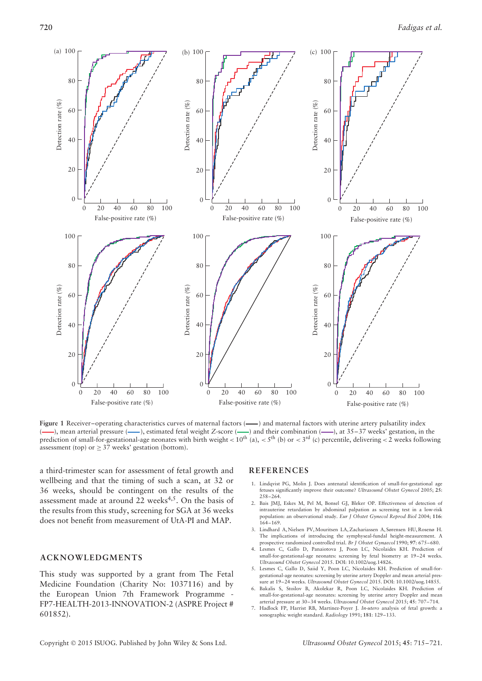

Figure 1 Receiver–operating characteristics curves of maternal factors (----) and maternal factors with uterine artery pulsatility index (—), mean arterial pressure (—), estimated fetal weight *Z*-score (—) and their combination (—), at 35–37 weeks' gestation, in the prediction of small-for-gestational-age neonates with birth weight *<* 10th (a), *<* 5th (b) or *<* 3rd (c) percentile, delivering *<* 2 weeks following assessment (top) or  $\geq$  37 weeks' gestation (bottom).

a third-trimester scan for assessment of fetal growth and wellbeing and that the timing of such a scan, at 32 or 36 weeks, should be contingent on the results of the assessment made at around  $22$  weeks<sup>4,5</sup>. On the basis of the results from this study, screening for SGA at 36 weeks does not benefit from measurement of UtA-PI and MAP.

## **ACKNOWLEDGMENTS**

This study was supported by a grant from The Fetal Medicine Foundation (Charity No: 1037116) and by the European Union 7th Framework Programme - FP7-HEALTH-2013-INNOVATION-2 (ASPRE Project # 601852).

#### **REFERENCES**

- 1. Lindqvist PG, Molin J. Does antenatal identification of small-for-gestational age fetuses significantly improve their outcome? *Ultrasound Obstet Gynecol* 2005; **25**: 258–264.
- 2. Bais JMJ, Eskes M, Pel M, Bonsel GJ, Bleker OP. Effectiveness of detection of intrauterine retardation by abdominal palpation as screening test in a low-risk population: an observational study. *Eur J Obstet Gynecol Reprod Biol* 2004; **116**: 164–169.
- 3. Lindhard A, Nielsen PV, Mouritsen LA, Zachariassen A, Sørensen HU, Rosenø H. The implications of introducing the symphyseal-fundal height-measurement. A prospective randomized controlled trial. *Br J Obstet Gynaecol* 1990; **97**: 675–680.
- Lesmes C, Gallo D, Panaiotova J, Poon LC, Nicolaides KH. Prediction of small-for-gestational-age neonates: screening by fetal biometry at 19–24 weeks. *Ultrasound Obstet Gynecol* 2015. DOI: 10.1002/uog.14826.
- 5. Lesmes C, Gallo D, Saiid Y, Poon LC, Nicolaides KH. Prediction of small-forgestational-age neonates: screening by uterine artery Doppler and mean arterial pressure at 19–24 weeks. *Ultrasound Obstet Gynecol* 2015. DOI: 10.1002/uog.14855.
- 6. Bakalis S, Stoilov B, Akolekar R, Poon LC, Nicolaides KH. Prediction of small-for-gestational-age neonates: screening by uterine artery Doppler and mean arterial pressure at 30–34 weeks. *Ultrasound Obstet Gynecol* 2015; **45**: 707–714.
- 7. Hadlock FP, Harrist RB, Martinez-Poyer J. *In-utero* analysis of fetal growth: a sonographic weight standard. *Radiology* 1991; **181**: 129–133.